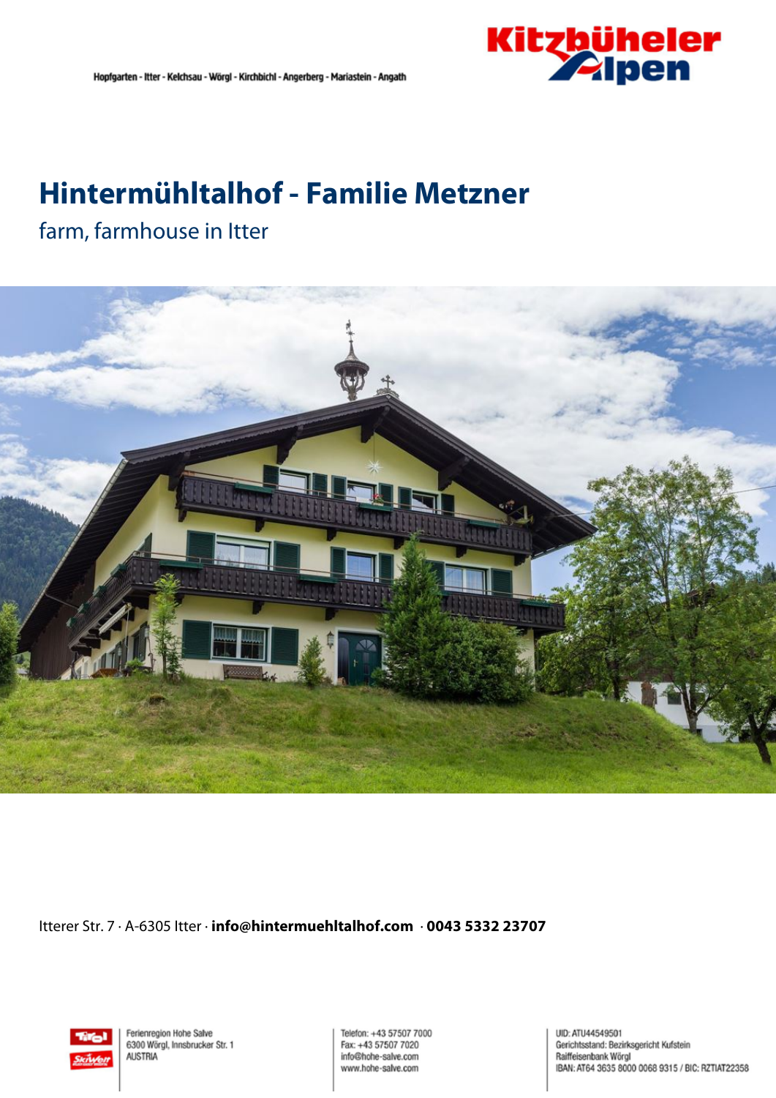

# **Hintermühltalhof - Familie Metzner**

### farm, farmhouse in Itter



Itterer Str. 7 · A-6305 Itter · **info@hintermuehltalhof.com** · **0043 5332 23707**



Ferienregion Hohe Salve 6300 Wörgl, Innsbrucker Str. 1 **AUSTRIA** 

Telefon: +43 57507 7000 Fax: +43 57507 7020 info@hohe-salve.com www.hohe-salve.com

UID: ATU44549501 Gerichtsstand: Bezirksgericht Kufstein Raiffeisenbank Wörgl IBAN: AT64 3635 8000 0068 9315 / BIC: RZTIAT22358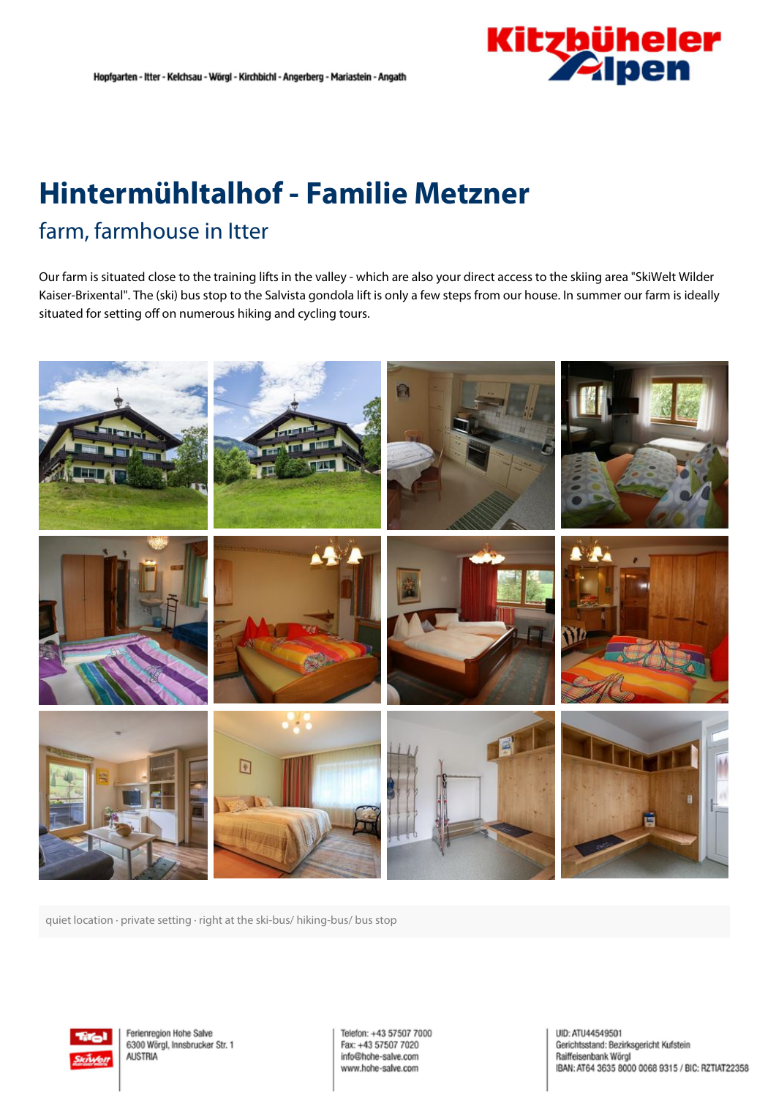

## **Hintermühltalhof - Familie Metzner** farm, farmhouse in Itter

Our farm is situated close to the training lifts in the valley - which are also your direct access to the skiing area "SkiWelt Wilder Kaiser-Brixental". The (ski) bus stop to the Salvista gondola lift is only <sup>a</sup> few steps from our house. In summer our farm is ideally situated for setting off on numerous hiking and cycling tours.



quiet location · private setting · right at the ski-bus/ hiking-bus/ bus stop



Ferienregion Hohe Salve 6300 Wörgl, Innsbrucker Str. 1 **AUSTRIA** 

Telefon: +43 57507 7000 Fax: +43 57507 7020 info@hohe-salve.com www.hohe-salve.com

UID: ATU44549501 Gerichtsstand: Bezirksgericht Kufstein Raiffeisenbank Wörol IBAN: AT64 3635 8000 0068 9315 / BIC: RZTIAT22358